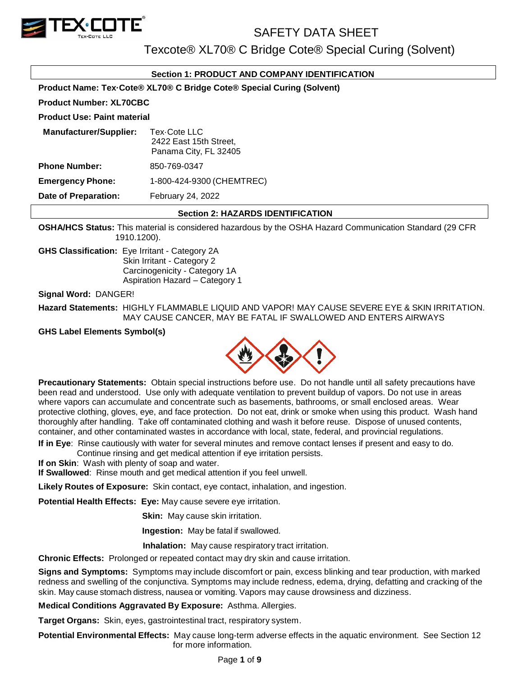

Texcote® XL70® C Bridge Cote® Special Curing (Solvent)

## **Section 1: PRODUCT AND COMPANY IDENTIFICATION**

**Product Name: Tex·Cote® XL70® C Bridge Cote® Special Curing (Solvent)**

#### **Product Number: XL70CBC**

#### **Product Use: Paint material**

| <b>Manufacturer/Supplier:</b> | Tex-Cote LLC<br>2422 East 15th Street,<br>Panama City, FL 32405 |
|-------------------------------|-----------------------------------------------------------------|
| <b>Phone Number:</b>          | 850-769-0347                                                    |
| <b>Emergency Phone:</b>       | 1-800-424-9300 (CHEMTREC)                                       |
| <b>Date of Preparation:</b>   | February 24, 2022                                               |

### **Section 2: HAZARDS IDENTIFICATION**

**OSHA/HCS Status:** This material is considered hazardous by the OSHA Hazard Communication Standard (29 CFR 1910.1200).

**GHS Classification:** Eye Irritant - Category 2A Skin Irritant - Category 2 Carcinogenicity - Category 1A Aspiration Hazard – Category 1

**Signal Word:** DANGER!

**Hazard Statements:** HIGHLY FLAMMABLE LIQUID AND VAPOR! MAY CAUSE SEVERE EYE & SKIN IRRITATION. MAY CAUSE CANCER, MAY BE FATAL IF SWALLOWED AND ENTERS AIRWAYS

**GHS Label Elements Symbol(s)**



**Precautionary Statements:** Obtain special instructions before use. Do not handle until all safety precautions have been read and understood. Use only with adequate ventilation to prevent buildup of vapors. Do not use in areas where vapors can accumulate and concentrate such as basements, bathrooms, or small enclosed areas. Wear protective clothing, gloves, eye, and face protection. Do not eat, drink or smoke when using this product. Wash hand thoroughly after handling. Take off contaminated clothing and wash it before reuse. Dispose of unused contents, container, and other contaminated wastes in accordance with local, state, federal, and provincial regulations.

**If in Eye**: Rinse cautiously with water for several minutes and remove contact lenses if present and easy to do. Continue rinsing and get medical attention if eye irritation persists.

**If on Skin**: Wash with plenty of soap and water.

**If Swallowed**: Rinse mouth and get medical attention if you feel unwell.

**Likely Routes of Exposure:** Skin contact, eye contact, inhalation, and ingestion.

**Potential Health Effects: Eye:** May cause severe eye irritation.

**Skin:** May cause skin irritation.

**Ingestion:** May be fatal if swallowed.

 **Inhalation:** May cause respiratory tract irritation.

**Chronic Effects:** Prolonged or repeated contact may dry skin and cause irritation.

**Signs and Symptoms:** Symptoms may include discomfort or pain, excess blinking and tear production, with marked redness and swelling of the conjunctiva. Symptoms may include redness, edema, drying, defatting and cracking of the skin. May cause stomach distress, nausea or vomiting. Vapors may cause drowsiness and dizziness.

**Medical Conditions Aggravated By Exposure:** Asthma. Allergies.

**Target Organs:** Skin, eyes, gastrointestinal tract, respiratory system.

**Potential Environmental Effects:** May cause long-term adverse effects in the aquatic environment. See Section 12 for more information.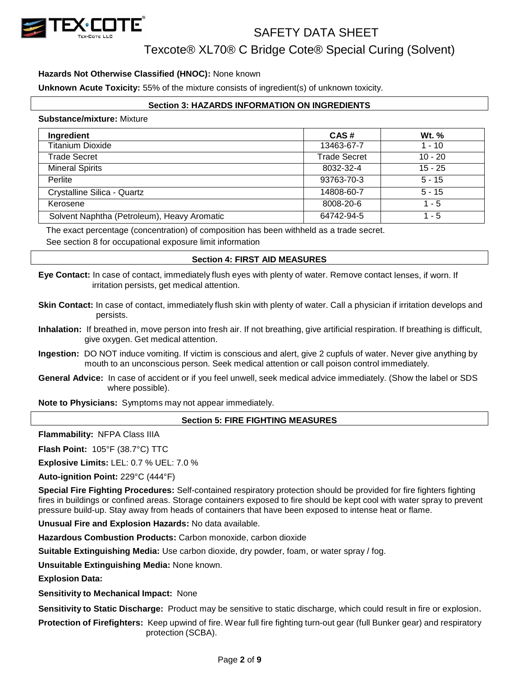

Texcote® XL70® C Bridge Cote® Special Curing (Solvent)

### **Hazards Not Otherwise Classified (HNOC):** None known

**Unknown Acute Toxicity:** 55% of the mixture consists of ingredient(s) of unknown toxicity.

### **Section 3: HAZARDS INFORMATION ON INGREDIENTS**

#### **Substance/mixture:** Mixture

| Ingredient                                  | CAS#                | Wt. %     |
|---------------------------------------------|---------------------|-----------|
| <b>Titanium Dioxide</b>                     | 13463-67-7          | 1 - 10    |
| Trade Secret                                | <b>Trade Secret</b> | $10 - 20$ |
| <b>Mineral Spirits</b>                      | 8032-32-4           | $15 - 25$ |
| Perlite                                     | 93763-70-3          | $5 - 15$  |
| Crystalline Silica - Quartz                 | 14808-60-7          | $5 - 15$  |
| Kerosene                                    | 8008-20-6           | $1 - 5$   |
| Solvent Naphtha (Petroleum), Heavy Aromatic | 64742-94-5          | 1 - 5     |

The exact percentage (concentration) of composition has been withheld as a trade secret.

See section 8 for occupational exposure limit information

#### **Section 4: FIRST AID MEASURES**

**Eye Contact:** In case of contact, immediately flush eyes with plenty of water. Remove contact lenses, if worn. If irritation persists, get medical attention.

- **Skin Contact:** In case of contact, immediately flush skin with plenty of water. Call a physician if irritation develops and persists.
- **Inhalation:** If breathed in, move person into fresh air. If not breathing, give artificial respiration. If breathing is difficult, give oxygen. Get medical attention.
- **Ingestion:** DO NOT induce vomiting. If victim is conscious and alert, give 2 cupfuls of water. Never give anything by mouth to an unconscious person. Seek medical attention or call poison control immediately.
- **General Advice:** In case of accident or if you feel unwell, seek medical advice immediately. (Show the label or SDS where possible).

**Note to Physicians:** Symptoms may not appear immediately.

## **Section 5: FIRE FIGHTING MEASURES**

**Flammability:** NFPA Class IIIA

**Flash Point:** 105°F (38.7°C) TTC

**Explosive Limits:** LEL: 0.7 % UEL: 7.0 %

**Auto-ignition Point:** 229°C (444°F)

**Special Fire Fighting Procedures:** Self-contained respiratory protection should be provided for fire fighters fighting fires in buildings or confined areas. Storage containers exposed to fire should be kept cool with water spray to prevent pressure build-up. Stay away from heads of containers that have been exposed to intense heat or flame.

**Unusual Fire and Explosion Hazards:** No data available.

**Hazardous Combustion Products:** Carbon monoxide, carbon dioxide

**Suitable Extinguishing Media:** Use carbon dioxide, dry powder, foam, or water spray / fog.

**Unsuitable Extinguishing Media:** None known.

**Explosion Data:**

**Sensitivity to Mechanical Impact:** None

**Sensitivity to Static Discharge:** Product may be sensitive to static discharge, which could result in fire or explosion.

**Protection of Firefighters:** Keep upwind of fire. Wear full fire fighting turn-out gear (full Bunker gear) and respiratory protection (SCBA).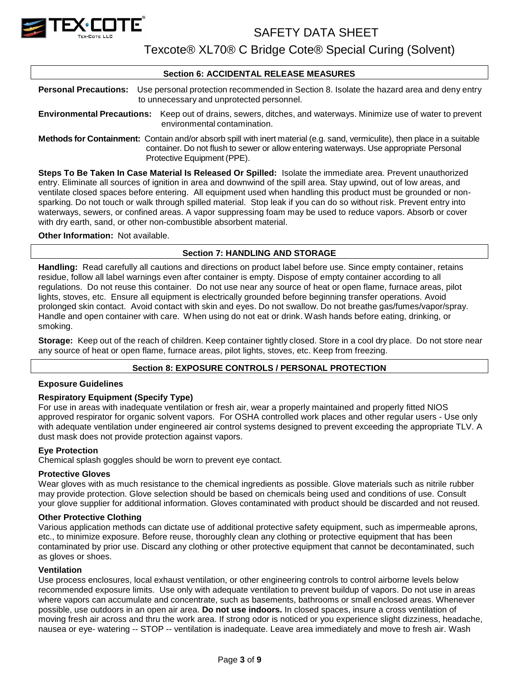

Texcote® XL70® C Bridge Cote® Special Curing (Solvent)

#### **Section 6: ACCIDENTAL RELEASE MEASURES**

**Personal Precautions:** Use personal protection recommended in Section 8. Isolate the hazard area and deny entry to unnecessary and unprotected personnel.

**Environmental Precautions:** Keep out of drains, sewers, ditches, and waterways. Minimize use of water to prevent environmental contamination.

**Methods for Containment:** Contain and/or absorb spill with inert material (e.g. sand, vermiculite), then place in a suitable container. Do not flush to sewer or allow entering waterways. Use appropriate Personal Protective Equipment (PPE).

**Steps To Be Taken In Case Material Is Released Or Spilled:** Isolate the immediate area. Prevent unauthorized entry. Eliminate all sources of ignition in area and downwind of the spill area. Stay upwind, out of low areas, and ventilate closed spaces before entering. All equipment used when handling this product must be grounded or nonsparking. Do not touch or walk through spilled material. Stop leak if you can do so without risk. Prevent entry into waterways, sewers, or confined areas. A vapor suppressing foam may be used to reduce vapors. Absorb or cover with dry earth, sand, or other non-combustible absorbent material.

#### **Other Information:** Not available.

## **Section 7: HANDLING AND STORAGE**

**Handling:** Read carefully all cautions and directions on product label before use. Since empty container, retains residue, follow all label warnings even after container is empty. Dispose of empty container according to all regulations. Do not reuse this container. Do not use near any source of heat or open flame, furnace areas, pilot lights, stoves, etc. Ensure all equipment is electrically grounded before beginning transfer operations. Avoid prolonged skin contact. Avoid contact with skin and eyes. Do not swallow. Do not breathe gas/fumes/vapor/spray. Handle and open container with care. When using do not eat or drink. Wash hands before eating, drinking, or smoking.

**Storage:** Keep out of the reach of children. Keep container tightly closed. Store in a cool dry place. Do not store near any source of heat or open flame, furnace areas, pilot lights, stoves, etc. Keep from freezing.

#### **Section 8: EXPOSURE CONTROLS / PERSONAL PROTECTION**

#### **Exposure Guidelines**

#### **Respiratory Equipment (Specify Type)**

For use in areas with inadequate ventilation or fresh air, wear a properly maintained and properly fitted NIOS approved respirator for organic solvent vapors. For OSHA controlled work places and other regular users - Use only with adequate ventilation under engineered air control systems designed to prevent exceeding the appropriate TLV. A dust mask does not provide protection against vapors.

#### **Eye Protection**

Chemical splash goggles should be worn to prevent eye contact.

#### **Protective Gloves**

Wear gloves with as much resistance to the chemical ingredients as possible. Glove materials such as nitrile rubber may provide protection. Glove selection should be based on chemicals being used and conditions of use. Consult your glove supplier for additional information. Gloves contaminated with product should be discarded and not reused.

#### **Other Protective Clothing**

Various application methods can dictate use of additional protective safety equipment, such as impermeable aprons, etc., to minimize exposure. Before reuse, thoroughly clean any clothing or protective equipment that has been contaminated by prior use. Discard any clothing or other protective equipment that cannot be decontaminated, such as gloves or shoes.

#### **Ventilation**

Use process enclosures, local exhaust ventilation, or other engineering controls to control airborne levels below recommended exposure limits. Use only with adequate ventilation to prevent buildup of vapors. Do not use in areas where vapors can accumulate and concentrate, such as basements, bathrooms or small enclosed areas. Whenever possible, use outdoors in an open air area. **Do not use indoors.** In closed spaces, insure a cross ventilation of moving fresh air across and thru the work area. If strong odor is noticed or you experience slight dizziness, headache, nausea or eye- watering -- STOP -- ventilation is inadequate. Leave area immediately and move to fresh air. Wash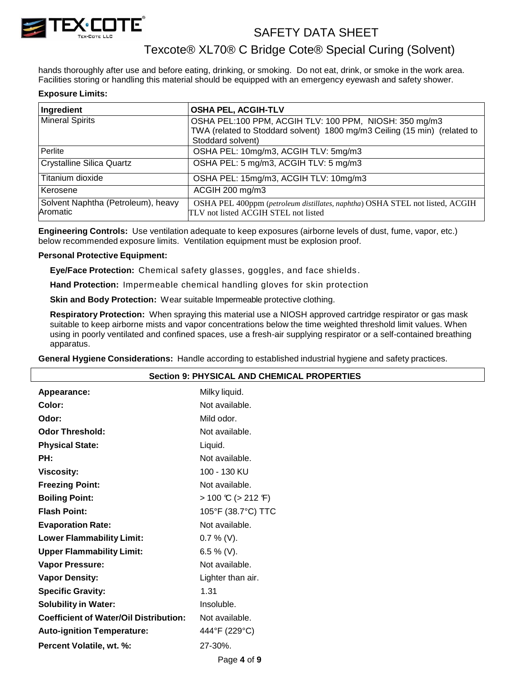

## Texcote® XL70® C Bridge Cote® Special Curing (Solvent)

hands thoroughly after use and before eating, drinking, or smoking. Do not eat, drink, or smoke in the work area. Facilities storing or handling this material should be equipped with an emergency eyewash and safety shower.

#### **Exposure Limits:**

| Ingredient                                     | <b>OSHA PEL, ACGIH-TLV</b>                                                                                           |
|------------------------------------------------|----------------------------------------------------------------------------------------------------------------------|
| <b>Mineral Spirits</b>                         | OSHA PEL:100 PPM, ACGIH TLV: 100 PPM, NIOSH: 350 mg/m3                                                               |
|                                                | TWA (related to Stoddard solvent) 1800 mg/m3 Ceiling (15 min) (related to                                            |
|                                                | Stoddard solvent)                                                                                                    |
| Perlite                                        | OSHA PEL: 10mg/m3, ACGIH TLV: 5mg/m3                                                                                 |
| Crystalline Silica Quartz                      | OSHA PEL: 5 mg/m3, ACGIH TLV: 5 mg/m3                                                                                |
| Titanium dioxide                               | OSHA PEL: 15mg/m3, ACGIH TLV: 10mg/m3                                                                                |
| Kerosene                                       | ACGIH 200 mg/m3                                                                                                      |
| Solvent Naphtha (Petroleum), heavy<br>Aromatic | OSHA PEL 400ppm (petroleum distillates, naphtha) OSHA STEL not listed, ACGIH<br>TLV not listed ACGIH STEL not listed |

**Engineering Controls:** Use ventilation adequate to keep exposures (airborne levels of dust, fume, vapor, etc.) below recommended exposure limits. Ventilation equipment must be explosion proof.

#### **Personal Protective Equipment:**

**Eye/Face Protection:** Chemical safety glasses, goggles, and face shields .

**Hand Protection:** Impermeable chemical handling gloves for skin protection

**Skin and Body Protection:** Wear suitable Impermeable protective clothing.

**Respiratory Protection:** When spraying this material use a NIOSH approved cartridge respirator or gas mask suitable to keep airborne mists and vapor concentrations below the time weighted threshold limit values. When using in poorly ventilated and confined spaces, use a fresh-air supplying respirator or a self-contained breathing apparatus.

**General Hygiene Considerations:** Handle according to established industrial hygiene and safety practices.

| <b>Section 9: PHYSICAL AND CHEMICAL PROPERTIES</b> |                                         |  |  |
|----------------------------------------------------|-----------------------------------------|--|--|
| Appearance:                                        | Milky liquid.                           |  |  |
| Color:                                             | Not available.                          |  |  |
| Odor:                                              | Mild odor.                              |  |  |
| <b>Odor Threshold:</b>                             | Not available.                          |  |  |
| <b>Physical State:</b>                             | Liquid.                                 |  |  |
| PH:                                                | Not available.                          |  |  |
| <b>Viscosity:</b>                                  | 100 - 130 KU                            |  |  |
| <b>Freezing Point:</b>                             | Not available.                          |  |  |
| <b>Boiling Point:</b>                              | $> 100 \text{ C}$ ( $> 212 \text{ F}$ ) |  |  |
| <b>Flash Point:</b>                                | 105°F (38.7°C) TTC                      |  |  |
| <b>Evaporation Rate:</b>                           | Not available.                          |  |  |
| <b>Lower Flammability Limit:</b>                   | $0.7\%$ (V).                            |  |  |
| <b>Upper Flammability Limit:</b>                   | 6.5 % (V).                              |  |  |
| <b>Vapor Pressure:</b>                             | Not available.                          |  |  |
| <b>Vapor Density:</b>                              | Lighter than air.                       |  |  |
| <b>Specific Gravity:</b>                           | 1.31                                    |  |  |
| <b>Solubility in Water:</b>                        | Insoluble.                              |  |  |
| <b>Coefficient of Water/Oil Distribution:</b>      | Not available.                          |  |  |
| <b>Auto-ignition Temperature:</b>                  | 444°F (229°C)                           |  |  |
| Percent Volatile, wt. %:                           | 27-30%.                                 |  |  |
|                                                    | Page 4 of 9                             |  |  |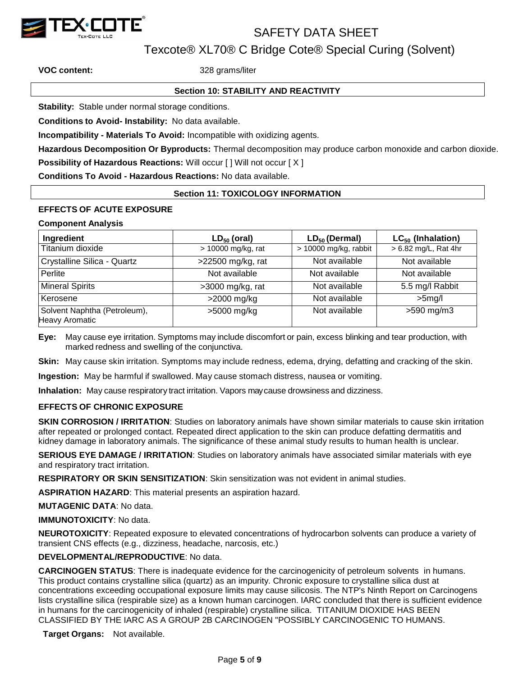

Texcote® XL70® C Bridge Cote® Special Curing (Solvent)

**VOC content:** 328 grams/liter

## **Section 10: STABILITY AND REACTIVITY**

**Stability:** Stable under normal storage conditions.

**Conditions to Avoid- Instability:** No data available.

**Incompatibility - Materials To Avoid:** Incompatible with oxidizing agents.

**Hazardous Decomposition Or Byproducts:** Thermal decomposition may produce carbon monoxide and carbon dioxide.

**Possibility of Hazardous Reactions:** Will occur [] Will not occur [X]

**Conditions To Avoid - Hazardous Reactions:** No data available.

### **Section 11: TOXICOLOGY INFORMATION**

## **EFFECTS OF ACUTE EXPOSURE**

#### **Component Analysis**

| Ingredient                                            | $LD_{50}$ (oral)   | $LD_{50}$ (Dermal)    | $LC_{50}$ (Inhalation) |
|-------------------------------------------------------|--------------------|-----------------------|------------------------|
| Titanium dioxide                                      | > 10000 mg/kg, rat | > 10000 mg/kg, rabbit | > 6.82 mg/L, Rat 4hr   |
| Crystalline Silica - Quartz                           | >22500 mg/kg, rat  | Not available         | Not available          |
| Perlite                                               | Not available      | Not available         | Not available          |
| <b>Mineral Spirits</b>                                | $>3000$ mg/kg, rat | Not available         | 5.5 mg/l Rabbit        |
| Kerosene                                              | >2000 mg/kg        | Not available         | $>5$ mg/l              |
| Solvent Naphtha (Petroleum),<br><b>Heavy Aromatic</b> | >5000 mg/kg        | Not available         | >590 mg/m3             |

**Eye:** May cause eye irritation. Symptoms may include discomfort or pain, excess blinking and tear production, with marked redness and swelling of the conjunctiva.

**Skin:** May cause skin irritation. Symptoms may include redness, edema, drying, defatting and cracking of the skin.

**Ingestion:** May be harmful if swallowed. May cause stomach distress, nausea or vomiting.

**Inhalation:** May cause respiratory tract irritation. Vapors maycause drowsiness and dizziness.

#### **EFFECTS OF CHRONIC EXPOSURE**

**SKIN CORROSION / IRRITATION**: Studies on laboratory animals have shown similar materials to cause skin irritation after repeated or prolonged contact. Repeated direct application to the skin can produce defatting dermatitis and kidney damage in laboratory animals. The significance of these animal study results to human health is unclear.

**SERIOUS EYE DAMAGE / IRRITATION**: Studies on laboratory animals have associated similar materials with eye and respiratory tract irritation.

**RESPIRATORY OR SKIN SENSITIZATION**: Skin sensitization was not evident in animal studies.

**ASPIRATION HAZARD**: This material presents an aspiration hazard.

**MUTAGENIC DATA**: No data.

#### **IMMUNOTOXICITY**: No data.

**NEUROTOXICITY**: Repeated exposure to elevated concentrations of hydrocarbon solvents can produce a variety of transient CNS effects (e.g., dizziness, headache, narcosis, etc.)

## **DEVELOPMENTAL/REPRODUCTIVE**: No data.

**CARCINOGEN STATUS**: There is inadequate evidence for the carcinogenicity of petroleum solvents in humans. This product contains crystalline silica (quartz) as an impurity. Chronic exposure to crystalline silica dust at concentrations exceeding occupational exposure limits may cause silicosis. The NTP's Ninth Report on Carcinogens lists crystalline silica (respirable size) as a known human carcinogen. IARC concluded that there is sufficient evidence in humans for the carcinogenicity of inhaled (respirable) crystalline silica. TITANIUM DIOXIDE HAS BEEN CLASSIFIED BY THE IARC AS A GROUP 2B CARCINOGEN "POSSIBLY CARCINOGENIC TO HUMANS.

**Target Organs:** Not available.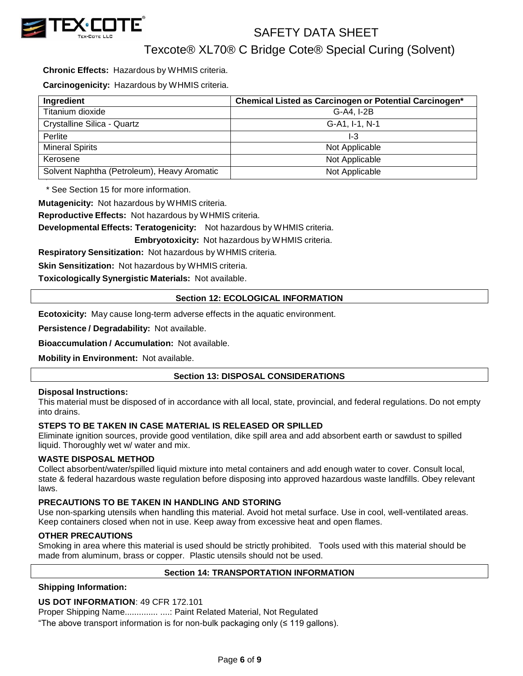

Texcote® XL70® C Bridge Cote® Special Curing (Solvent)

**Chronic Effects:** Hazardous by WHMIS criteria.

**Carcinogenicity:** Hazardous by WHMIS criteria.

| Ingredient                                  | Chemical Listed as Carcinogen or Potential Carcinogen* |
|---------------------------------------------|--------------------------------------------------------|
| Titanium dioxide                            | G-A4, I-2B                                             |
| Crystalline Silica - Quartz                 | G-A1, I-1, N-1                                         |
| Perlite                                     | I-3                                                    |
| <b>Mineral Spirits</b>                      | Not Applicable                                         |
| Kerosene                                    | Not Applicable                                         |
| Solvent Naphtha (Petroleum), Heavy Aromatic | Not Applicable                                         |

\* See Section 15 for more information.

**Mutagenicity:** Not hazardous by WHMIS criteria.

**Reproductive Effects:** Not hazardous by WHMIS criteria.

**Developmental Effects: Teratogenicity:** Not hazardous by WHMIS criteria.

**Embryotoxicity:** Not hazardous by WHMIS criteria.

**Respiratory Sensitization:** Not hazardous by WHMIS criteria.

**Skin Sensitization:** Not hazardous by WHMIS criteria.

**Toxicologically Synergistic Materials:** Not available.

### **Section 12: ECOLOGICAL INFORMATION**

**Ecotoxicity:** May cause long-term adverse effects in the aquatic environment.

**Persistence / Degradability:** Not available.

**Bioaccumulation / Accumulation:** Not available.

**Mobility in Environment:** Not available.

## **Section 13: DISPOSAL CONSIDERATIONS**

#### **Disposal Instructions:**

This material must be disposed of in accordance with all local, state, provincial, and federal regulations. Do not empty into drains.

#### **STEPS TO BE TAKEN IN CASE MATERIAL IS RELEASED OR SPILLED**

Eliminate ignition sources, provide good ventilation, dike spill area and add absorbent earth or sawdust to spilled liquid. Thoroughly wet w/ water and mix.

#### **WASTE DISPOSAL METHOD**

Collect absorbent/water/spilled liquid mixture into metal containers and add enough water to cover. Consult local, state & federal hazardous waste regulation before disposing into approved hazardous waste landfills. Obey relevant laws.

#### **PRECAUTIONS TO BE TAKEN IN HANDLING AND STORING**

Use non-sparking utensils when handling this material. Avoid hot metal surface. Use in cool, well-ventilated areas. Keep containers closed when not in use. Keep away from excessive heat and open flames.

#### **OTHER PRECAUTIONS**

Smoking in area where this material is used should be strictly prohibited. Tools used with this material should be made from aluminum, brass or copper. Plastic utensils should not be used.

#### **Section 14: TRANSPORTATION INFORMATION**

#### **Shipping Information:**

#### **US DOT INFORMATION**: 49 CFR 172.101

Proper Shipping Name.............. ....: Paint Related Material, Not Regulated

"The above transport information is for non-bulk packaging only (≤ 119 gallons).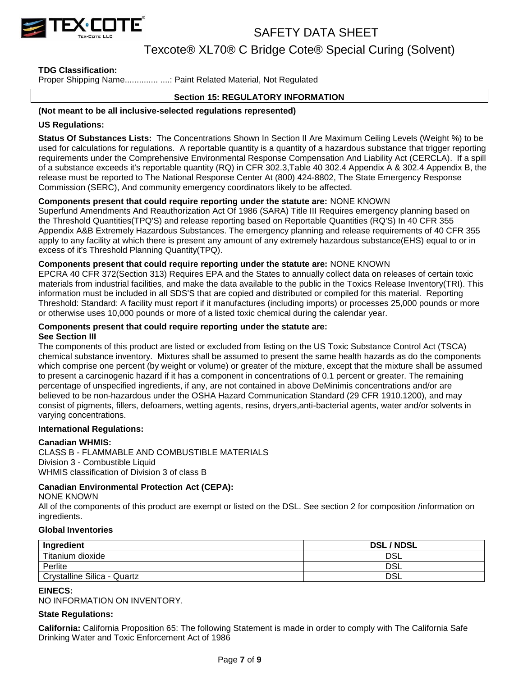

Texcote® XL70® C Bridge Cote® Special Curing (Solvent)

## **TDG Classification:**

Proper Shipping Name..................... ....: Paint Related Material, Not Regulated

## **Section 15: REGULATORY INFORMATION**

#### **(Not meant to be all inclusive-selected regulations represented)**

#### **US Regulations:**

**Status Of Substances Lists:** The Concentrations Shown In Section II Are Maximum Ceiling Levels (Weight %) to be used for calculations for regulations. A reportable quantity is a quantity of a hazardous substance that trigger reporting requirements under the Comprehensive Environmental Response Compensation And Liability Act (CERCLA). If a spill of a substance exceeds it's reportable quantity (RQ) in CFR 302.3,Table 40 302.4 Appendix A & 302.4 Appendix B, the release must be reported to The National Response Center At (800) 424-8802, The State Emergency Response Commission (SERC), And community emergency coordinators likely to be affected.

### **Components present that could require reporting under the statute are:** NONE KNOWN

Superfund Amendments And Reauthorization Act Of 1986 (SARA) Title III Requires emergency planning based on the Threshold Quantities(TPQ'S) and release reporting based on Reportable Quantities (RQ'S) In 40 CFR 355 Appendix A&B Extremely Hazardous Substances. The emergency planning and release requirements of 40 CFR 355 apply to any facility at which there is present any amount of any extremely hazardous substance(EHS) equal to or in excess of it's Threshold Planning Quantity(TPQ).

#### **Components present that could require reporting under the statute are:** NONE KNOWN

EPCRA 40 CFR 372(Section 313) Requires EPA and the States to annually collect data on releases of certain toxic materials from industrial facilities, and make the data available to the public in the Toxics Release Inventory(TRI). This information must be included in all SDS'S that are copied and distributed or compiled for this material. Reporting Threshold: Standard: A facility must report if it manufactures (including imports) or processes 25,000 pounds or more or otherwise uses 10,000 pounds or more of a listed toxic chemical during the calendar year.

#### **Components present that could require reporting under the statute are: See Section III**

The components of this product are listed or excluded from listing on the US Toxic Substance Control Act (TSCA) chemical substance inventory. Mixtures shall be assumed to present the same health hazards as do the components which comprise one percent (by weight or volume) or greater of the mixture, except that the mixture shall be assumed to present a carcinogenic hazard if it has a component in concentrations of 0.1 percent or greater. The remaining percentage of unspecified ingredients, if any, are not contained in above DeMinimis concentrations and/or are believed to be non-hazardous under the OSHA Hazard Communication Standard (29 CFR 1910.1200), and may consist of pigments, fillers, defoamers, wetting agents, resins, dryers,anti-bacterial agents, water and/or solvents in varying concentrations.

#### **International Regulations:**

#### **Canadian WHMIS:**

CLASS B - FLAMMABLE AND COMBUSTIBLE MATERIALS Division 3 - Combustible Liquid WHMIS classification of Division 3 of class B

#### **Canadian Environmental Protection Act (CEPA):**

NONE KNOWN

All of the components of this product are exempt or listed on the DSL. See section 2 for composition /information on ingredients.

#### **Global Inventories**

| Ingredient                  | <b>DSL/NDSL</b> |
|-----------------------------|-----------------|
| Titanium dioxide            | DSL             |
| Perlite                     | DSL             |
| Crystalline Silica - Quartz | DSL             |

#### **EINECS:**

NO INFORMATION ON INVENTORY.

#### **State Regulations:**

**California:** California Proposition 65: The following Statement is made in order to comply with The California Safe Drinking Water and Toxic Enforcement Act of 1986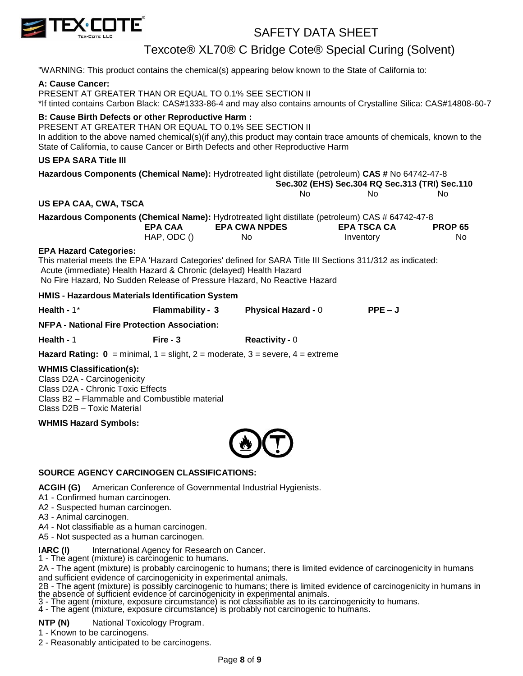

Texcote® XL70® C Bridge Cote® Special Curing (Solvent)

"WARNING: This product contains the chemical(s) appearing below known to the State of California to:

#### **A: Cause Cancer:**

PRESENT AT GREATER THAN OR EQUAL TO 0.1% SEE SECTION II \*If tinted contains Carbon Black: CAS#1333-86-4 and may also contains amounts of Crystalline Silica: CAS#14808-60-7

## **B: Cause Birth Defects or other Reproductive Harm :**

PRESENT AT GREATER THAN OR EQUAL TO 0.1% SEE SECTION II In addition to the above named chemical(s)(if any),this product may contain trace amounts of chemicals, known to the State of California, to cause Cancer or Birth Defects and other Reproductive Harm

## **US EPA SARA Title III**

| US EPA SARA Title III                                             |                         |                                                                                                           |                                                |                |  |
|-------------------------------------------------------------------|-------------------------|-----------------------------------------------------------------------------------------------------------|------------------------------------------------|----------------|--|
|                                                                   |                         | Hazardous Components (Chemical Name): Hydrotreated light distillate (petroleum) CAS # No 64742-47-8       |                                                |                |  |
|                                                                   |                         |                                                                                                           | Sec.302 (EHS) Sec.304 RQ Sec.313 (TRI) Sec.110 |                |  |
|                                                                   |                         | No.                                                                                                       | No.                                            | No.            |  |
| US EPA CAA, CWA, TSCA                                             |                         |                                                                                                           |                                                |                |  |
|                                                                   |                         | Hazardous Components (Chemical Name): Hydrotreated light distillate (petroleum) CAS # 64742-47-8          |                                                |                |  |
|                                                                   | <b>EPA CAA</b>          | <b>EPA CWA NPDES</b>                                                                                      | <b>EPA TSCA CA</b>                             | <b>PROP 65</b> |  |
|                                                                   | $HAP$ , ODC $()$        | No.                                                                                                       | Inventory                                      | No.            |  |
| <b>EPA Hazard Categories:</b>                                     |                         |                                                                                                           |                                                |                |  |
|                                                                   |                         | This material meets the EPA 'Hazard Categories' defined for SARA Title III Sections 311/312 as indicated: |                                                |                |  |
| Acute (immediate) Health Hazard & Chronic (delayed) Health Hazard |                         |                                                                                                           |                                                |                |  |
|                                                                   |                         | No Fire Hazard, No Sudden Release of Pressure Hazard, No Reactive Hazard                                  |                                                |                |  |
| HMIS - Hazardous Materials Identification System                  |                         |                                                                                                           |                                                |                |  |
| Health - $1^*$                                                    | <b>Flammability - 3</b> | <b>Physical Hazard - 0</b>                                                                                | $PPE-J$                                        |                |  |
| <b>NFPA - National Fire Protection Association:</b>               |                         |                                                                                                           |                                                |                |  |

**Health -** 1 **Fire - 3 Reactivity -** 0

**Hazard Rating:**  $0 = \text{minimal}$ **,**  $1 = \text{slight}$ **,**  $2 = \text{moderate}$ **,**  $3 = \text{severe}$ **,**  $4 = \text{extreme}$ 

#### **WHMIS Classification(s):**

Class D2A - Carcinogenicity Class D2A - Chronic Toxic Effects Class B2 – Flammable and Combustible material Class D2B – Toxic Material

**WHMIS Hazard Symbols:**



## **SOURCE AGENCY CARCINOGEN CLASSIFICATIONS:**

**ACGIH (G)** American Conference of Governmental Industrial Hygienists.

A1 - Confirmed human carcinogen.

A2 - Suspected human carcinogen.

A3 - Animal carcinogen.

A4 - Not classifiable as a human carcinogen.

A5 - Not suspected as a human carcinogen.

**IARC** (I) International Agency for Research on Cancer.

1 - The agent (mixture) is carcinogenic to humans.

2A - The agent (mixture) is probably carcinogenic to humans; there is limited evidence of carcinogenicity in humans and sufficient evidence of carcinogenicity in experimental animals.

2B - The agent (mixture) is possibly carcinogenic to humans; there is limited evidence of carcinogenicity in humans in the absence of sufficient evidence of carcinogenicity in experimental animals.

3 - The agent (mixture, exposure circumstance) is not classifiable as to its carcinogenicity to humans.

4 - The agent (mixture, exposure circumstance) is probably not carcinogenic to humans.

**NTP (N)** National Toxicology Program.

1 - Known to be carcinogens.

2 - Reasonably anticipated to be carcinogens.